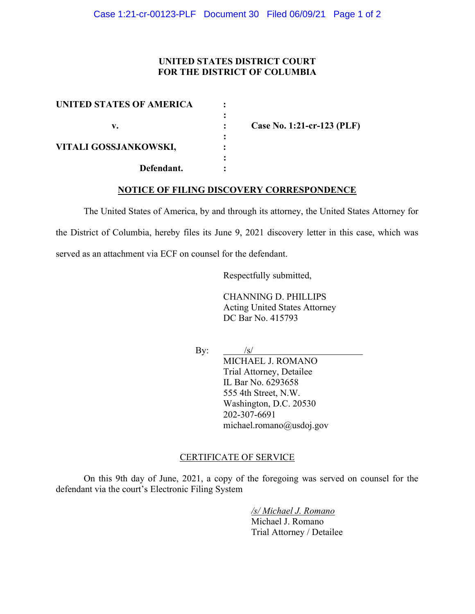## UNITED STATES DISTRICT COURT FOR THE DISTRICT OF COLUMBIA

| UNITED STATES OF AMERICA |  |
|--------------------------|--|
|                          |  |
| v.                       |  |
|                          |  |
| VITALI GOSSJANKOWSKI,    |  |
|                          |  |
| Defendant.               |  |

Case No. 1:21-cr-123 (PLF)

## NOTICE OF FILING DISCOVERY CORRESPONDENCE

The United States of America, by and through its attorney, the United States Attorney for

the District of Columbia, hereby files its June 9, 2021 discovery letter in this case, which was

served as an attachment via ECF on counsel for the defendant.

Respectfully submitted,

CHANNING D. PHILLIPS Acting United States Attorney DC Bar No. 415793

By:  $/s/$ 

 MICHAEL J. ROMANO Trial Attorney, Detailee IL Bar No. 6293658 555 4th Street, N.W. Washington, D.C. 20530

 202-307-6691 michael.romano@usdoj.gov

## CERTIFICATE OF SERVICE

On this 9th day of June, 2021, a copy of the foregoing was served on counsel for the defendant via the court's Electronic Filing System

> /s/ Michael J. Romano Michael J. Romano Trial Attorney / Detailee